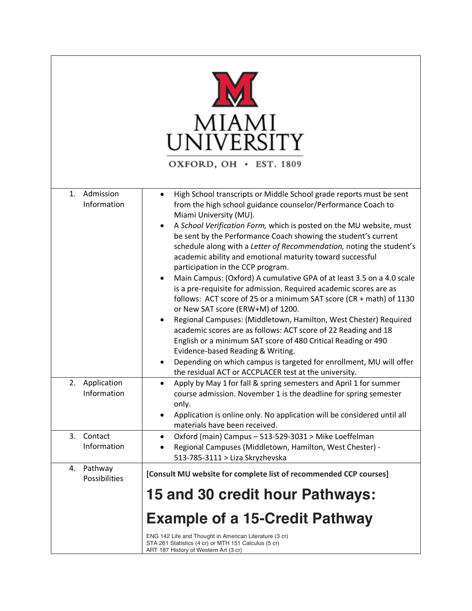| MIAMI<br><b>UNIVERSITY</b><br>OXFORD, OH · EST. 1809 |                                                                                                                                                                                                                                                                                                                                                                                                                                                                                                                                                                                                                                                                                                                                                                                                                                                                                                                                                                                                                                                                                                                                                               |  |  |
|------------------------------------------------------|---------------------------------------------------------------------------------------------------------------------------------------------------------------------------------------------------------------------------------------------------------------------------------------------------------------------------------------------------------------------------------------------------------------------------------------------------------------------------------------------------------------------------------------------------------------------------------------------------------------------------------------------------------------------------------------------------------------------------------------------------------------------------------------------------------------------------------------------------------------------------------------------------------------------------------------------------------------------------------------------------------------------------------------------------------------------------------------------------------------------------------------------------------------|--|--|
| Admission<br>1.<br>Information                       | High School transcripts or Middle School grade reports must be sent<br>$\bullet$<br>from the high school guidance counselor/Performance Coach to<br>Miami University (MU).<br>A School Verification Form, which is posted on the MU website, must<br>$\bullet$<br>be sent by the Performance Coach showing the student's current<br>schedule along with a Letter of Recommendation, noting the student's<br>academic ability and emotional maturity toward successful<br>participation in the CCP program.<br>Main Campus: (Oxford) A cumulative GPA of at least 3.5 on a 4.0 scale<br>$\bullet$<br>is a pre-requisite for admission. Required academic scores are as<br>follows: ACT score of 25 or a minimum SAT score (CR + math) of 1130<br>or New SAT score (ERW+M) of 1200.<br>Regional Campuses: (Middletown, Hamilton, West Chester) Required<br>academic scores are as follows: ACT score of 22 Reading and 18<br>English or a minimum SAT score of 480 Critical Reading or 490<br>Evidence-based Reading & Writing.<br>Depending on which campus is targeted for enrollment, MU will offer<br>the residual ACT or ACCPLACER test at the university. |  |  |
| Application<br>2.<br>Information                     | Apply by May 1 for fall & spring semesters and April 1 for summer<br>$\bullet$<br>course admission. November 1 is the deadline for spring semester<br>only.<br>Application is online only. No application will be considered until all<br>materials have been received.                                                                                                                                                                                                                                                                                                                                                                                                                                                                                                                                                                                                                                                                                                                                                                                                                                                                                       |  |  |
| 3.<br>Contact<br>Information                         | Oxford (main) Campus - 513-529-3031 > Mike Loeffelman<br>$\bullet$<br>Regional Campuses (Middletown, Hamilton, West Chester) -<br>513-785-3111 > Liza Skryzhevska                                                                                                                                                                                                                                                                                                                                                                                                                                                                                                                                                                                                                                                                                                                                                                                                                                                                                                                                                                                             |  |  |
| Pathway<br>4.<br>Possibilities                       | [Consult MU website for complete list of recommended CCP courses]<br>15 and 30 credit hour Pathways:<br><b>Example of a 15-Credit Pathway</b><br>ENG 142 Life and Thought in American Literature (3 cr)<br>STA 261 Statistics (4 cr) or MTH 151 Calculus (5 cr)<br>ART 187 History of Western Art (3 cr)                                                                                                                                                                                                                                                                                                                                                                                                                                                                                                                                                                                                                                                                                                                                                                                                                                                      |  |  |